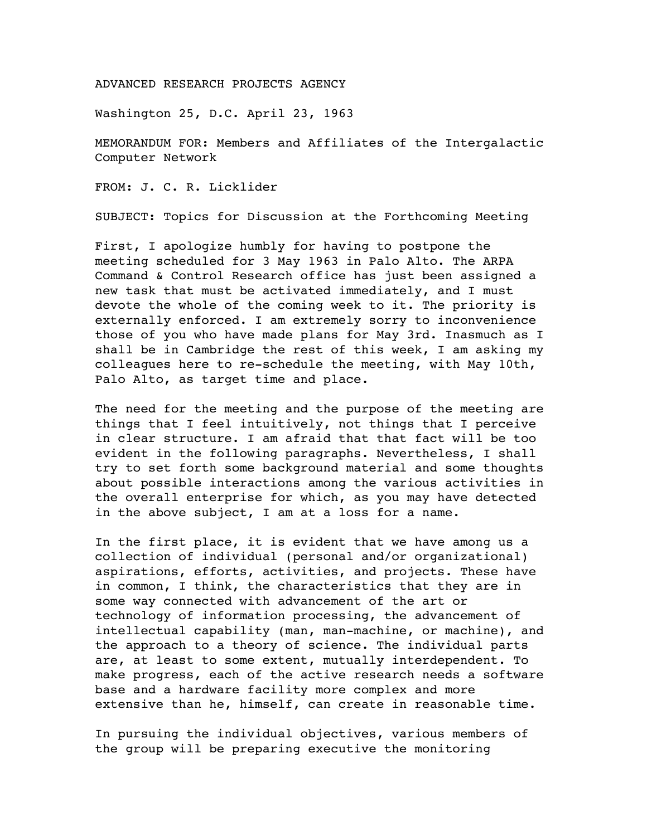## ADVANCED RESEARCH PROJECTS AGENCY

Washington 25, D.C. April 23, 1963

MEMORANDUM FOR: Members and Affiliates of the Intergalactic Computer Network

FROM: J. C. R. Licklider

SUBJECT: Topics for Discussion at the Forthcoming Meeting

First, I apologize humbly for having to postpone the meeting scheduled for 3 May 1963 in Palo Alto. The ARPA Command & Control Research office has just been assigned a new task that must be activated immediately, and I must devote the whole of the coming week to it. The priority is externally enforced. I am extremely sorry to inconvenience those of you who have made plans for May 3rd. Inasmuch as I shall be in Cambridge the rest of this week, I am asking my colleagues here to re-schedule the meeting, with May 10th, Palo Alto, as target time and place.

The need for the meeting and the purpose of the meeting are things that I feel intuitively, not things that I perceive in clear structure. I am afraid that that fact will be too evident in the following paragraphs. Nevertheless, I shall try to set forth some background material and some thoughts about possible interactions among the various activities in the overall enterprise for which, as you may have detected in the above subject, I am at a loss for a name.

In the first place, it is evident that we have among us a collection of individual (personal and/or organizational) aspirations, efforts, activities, and projects. These have in common, I think, the characteristics that they are in some way connected with advancement of the art or technology of information processing, the advancement of intellectual capability (man, man-machine, or machine), and the approach to a theory of science. The individual parts are, at least to some extent, mutually interdependent. To make progress, each of the active research needs a software base and a hardware facility more complex and more extensive than he, himself, can create in reasonable time.

In pursuing the individual objectives, various members of the group will be preparing executive the monitoring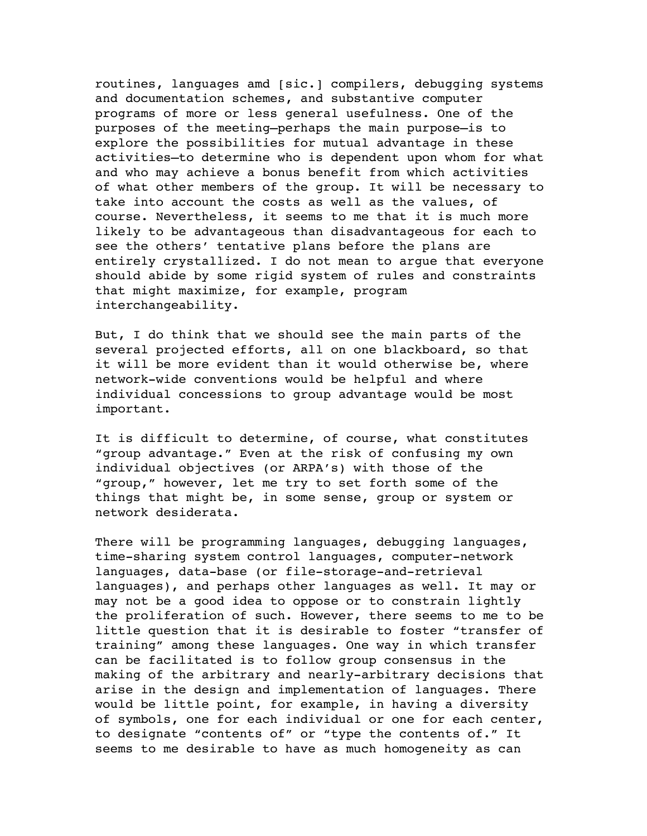routines, languages amd [sic.] compilers, debugging systems and documentation schemes, and substantive computer programs of more or less general usefulness. One of the purposes of the meeting–perhaps the main purpose–is to explore the possibilities for mutual advantage in these activities–to determine who is dependent upon whom for what and who may achieve a bonus benefit from which activities of what other members of the group. It will be necessary to take into account the costs as well as the values, of course. Nevertheless, it seems to me that it is much more likely to be advantageous than disadvantageous for each to see the others' tentative plans before the plans are entirely crystallized. I do not mean to argue that everyone should abide by some rigid system of rules and constraints that might maximize, for example, program interchangeability.

But, I do think that we should see the main parts of the several projected efforts, all on one blackboard, so that it will be more evident than it would otherwise be, where network-wide conventions would be helpful and where individual concessions to group advantage would be most important.

It is difficult to determine, of course, what constitutes "group advantage." Even at the risk of confusing my own individual objectives (or ARPA's) with those of the "group," however, let me try to set forth some of the things that might be, in some sense, group or system or network desiderata.

There will be programming languages, debugging languages, time-sharing system control languages, computer-network languages, data-base (or file-storage-and-retrieval languages), and perhaps other languages as well. It may or may not be a good idea to oppose or to constrain lightly the proliferation of such. However, there seems to me to be little question that it is desirable to foster "transfer of training" among these languages. One way in which transfer can be facilitated is to follow group consensus in the making of the arbitrary and nearly-arbitrary decisions that arise in the design and implementation of languages. There would be little point, for example, in having a diversity of symbols, one for each individual or one for each center, to designate "contents of" or "type the contents of." It seems to me desirable to have as much homogeneity as can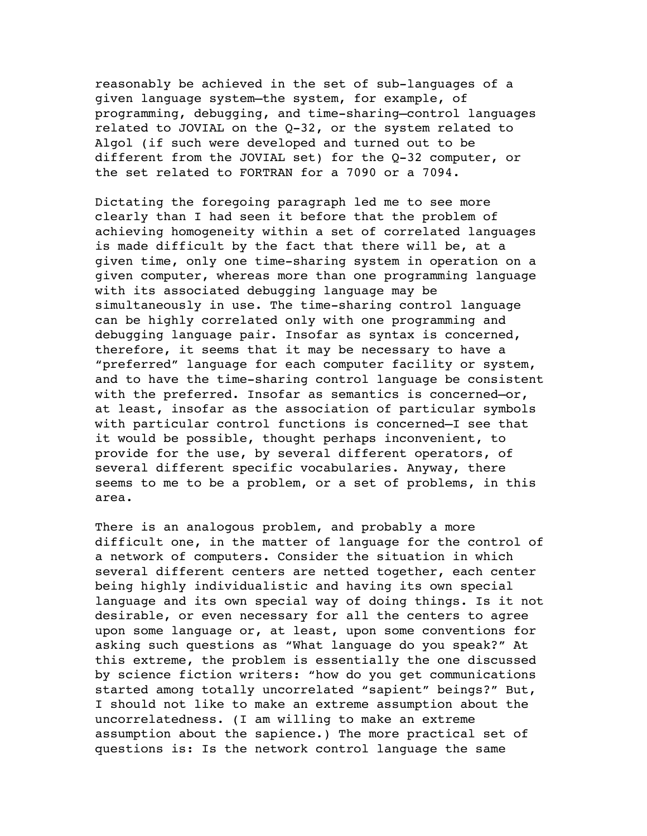reasonably be achieved in the set of sub-languages of a given language system–the system, for example, of programming, debugging, and time-sharing–control languages related to JOVIAL on the Q-32, or the system related to Algol (if such were developed and turned out to be different from the JOVIAL set) for the Q-32 computer, or the set related to FORTRAN for a 7090 or a 7094.

Dictating the foregoing paragraph led me to see more clearly than I had seen it before that the problem of achieving homogeneity within a set of correlated languages is made difficult by the fact that there will be, at a given time, only one time-sharing system in operation on a given computer, whereas more than one programming language with its associated debugging language may be simultaneously in use. The time-sharing control language can be highly correlated only with one programming and debugging language pair. Insofar as syntax is concerned, therefore, it seems that it may be necessary to have a "preferred" language for each computer facility or system, and to have the time-sharing control language be consistent with the preferred. Insofar as semantics is concerned–or, at least, insofar as the association of particular symbols with particular control functions is concerned–I see that it would be possible, thought perhaps inconvenient, to provide for the use, by several different operators, of several different specific vocabularies. Anyway, there seems to me to be a problem, or a set of problems, in this area.

There is an analogous problem, and probably a more difficult one, in the matter of language for the control of a network of computers. Consider the situation in which several different centers are netted together, each center being highly individualistic and having its own special language and its own special way of doing things. Is it not desirable, or even necessary for all the centers to agree upon some language or, at least, upon some conventions for asking such questions as "What language do you speak?" At this extreme, the problem is essentially the one discussed by science fiction writers: "how do you get communications started among totally uncorrelated "sapient" beings?" But, I should not like to make an extreme assumption about the uncorrelatedness. (I am willing to make an extreme assumption about the sapience.) The more practical set of questions is: Is the network control language the same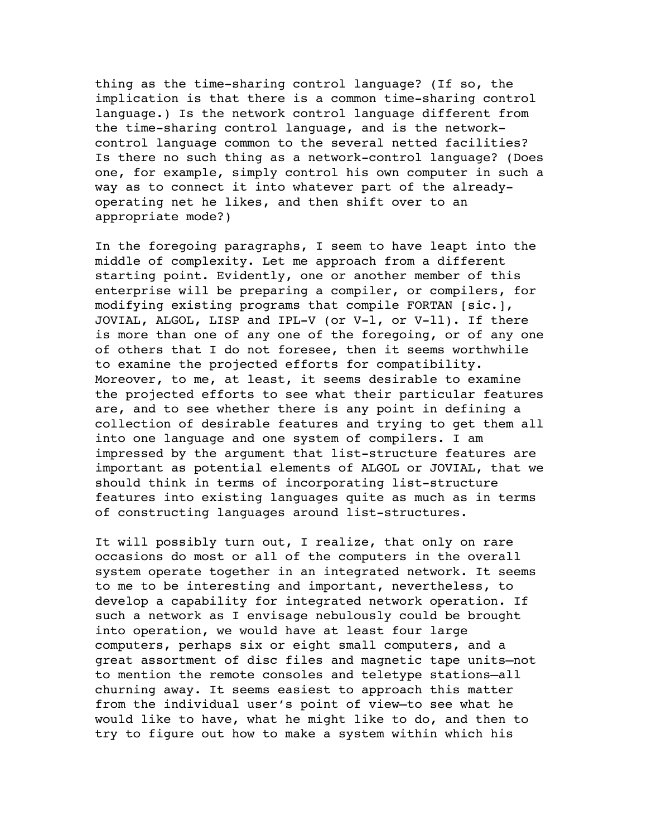thing as the time-sharing control language? (If so, the implication is that there is a common time-sharing control language.) Is the network control language different from the time-sharing control language, and is the networkcontrol language common to the several netted facilities? Is there no such thing as a network-control language? (Does one, for example, simply control his own computer in such a way as to connect it into whatever part of the alreadyoperating net he likes, and then shift over to an appropriate mode?)

In the foregoing paragraphs, I seem to have leapt into the middle of complexity. Let me approach from a different starting point. Evidently, one or another member of this enterprise will be preparing a compiler, or compilers, for modifying existing programs that compile FORTAN [sic.], JOVIAL, ALGOL, LISP and IPL-V (or V-l, or V-ll). If there is more than one of any one of the foregoing, or of any one of others that I do not foresee, then it seems worthwhile to examine the projected efforts for compatibility. Moreover, to me, at least, it seems desirable to examine the projected efforts to see what their particular features are, and to see whether there is any point in defining a collection of desirable features and trying to get them all into one language and one system of compilers. I am impressed by the argument that list-structure features are important as potential elements of ALGOL or JOVIAL, that we should think in terms of incorporating list-structure features into existing languages quite as much as in terms of constructing languages around list-structures.

It will possibly turn out, I realize, that only on rare occasions do most or all of the computers in the overall system operate together in an integrated network. It seems to me to be interesting and important, nevertheless, to develop a capability for integrated network operation. If such a network as I envisage nebulously could be brought into operation, we would have at least four large computers, perhaps six or eight small computers, and a great assortment of disc files and magnetic tape units–not to mention the remote consoles and teletype stations–all churning away. It seems easiest to approach this matter from the individual user's point of view–to see what he would like to have, what he might like to do, and then to try to figure out how to make a system within which his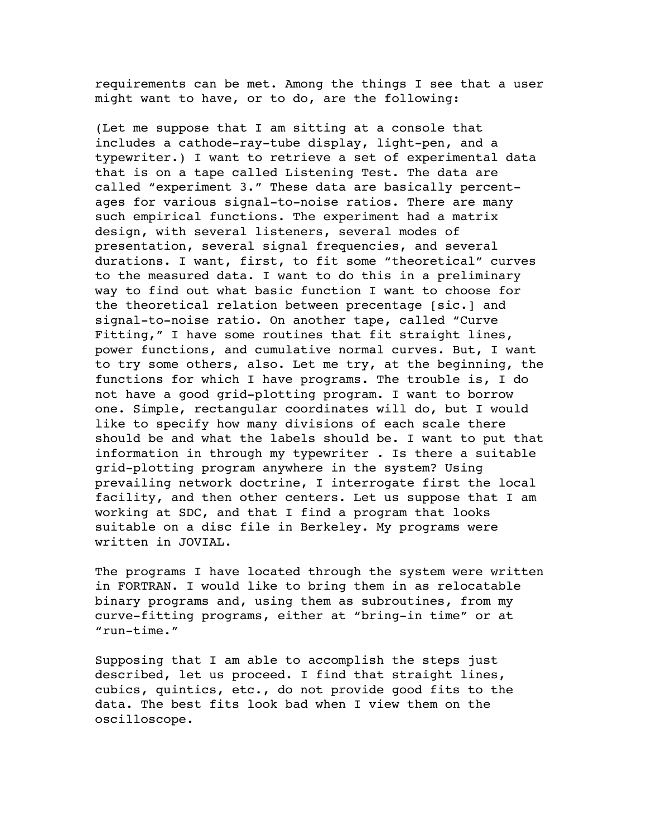requirements can be met. Among the things I see that a user might want to have, or to do, are the following:

(Let me suppose that I am sitting at a console that includes a cathode-ray-tube display, light-pen, and a typewriter.) I want to retrieve a set of experimental data that is on a tape called Listening Test. The data are called "experiment 3." These data are basically percentages for various signal-to-noise ratios. There are many such empirical functions. The experiment had a matrix design, with several listeners, several modes of presentation, several signal frequencies, and several durations. I want, first, to fit some "theoretical" curves to the measured data. I want to do this in a preliminary way to find out what basic function I want to choose for the theoretical relation between precentage [sic.] and signal-to-noise ratio. On another tape, called "Curve Fitting," I have some routines that fit straight lines, power functions, and cumulative normal curves. But, I want to try some others, also. Let me try, at the beginning, the functions for which I have programs. The trouble is, I do not have a good grid-plotting program. I want to borrow one. Simple, rectangular coordinates will do, but I would like to specify how many divisions of each scale there should be and what the labels should be. I want to put that information in through my typewriter . Is there a suitable grid-plotting program anywhere in the system? Using prevailing network doctrine, I interrogate first the local facility, and then other centers. Let us suppose that I am working at SDC, and that I find a program that looks suitable on a disc file in Berkeley. My programs were written in JOVIAL.

The programs I have located through the system were written in FORTRAN. I would like to bring them in as relocatable binary programs and, using them as subroutines, from my curve-fitting programs, either at "bring-in time" or at "run-time."

Supposing that I am able to accomplish the steps just described, let us proceed. I find that straight lines, cubics, quintics, etc., do not provide good fits to the data. The best fits look bad when I view them on the oscilloscope.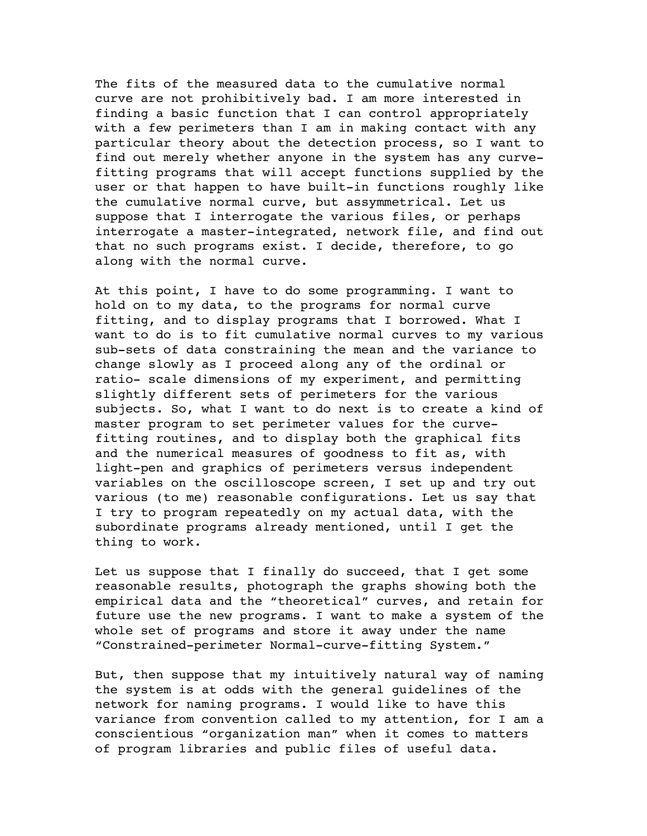The fits of the measured data to the cumulative normal curve are not prohibitively bad. I am more interested in finding a basic function that I can control appropriately with a few perimeters than I am in making contact with any particular theory about the detection process, so I want to find out merely whether anyone in the system has any curvefitting programs that will accept functions supplied by the user or that happen to have built-in functions roughly like the cumulative normal curve, but assymmetrical. Let us suppose that I interrogate the various files, or perhaps interrogate a master-integrated, network file, and find out that no such programs exist. I decide, therefore, to go along with the normal curve.

At this point, I have to do some programming. I want to hold on to my data, to the programs for normal curve fitting, and to display programs that I borrowed. What I want to do is to fit cumulative normal curves to my various sub-sets of data constraining the mean and the variance to change slowly as I proceed along any of the ordinal or ratio- scale dimensions of my experiment, and permitting slightly different sets of perimeters for the various subjects. So, what I want to do next is to create a kind of master program to set perimeter values for the curvefitting routines, and to display both the graphical fits and the numerical measures of goodness to fit as, with light-pen and graphics of perimeters versus independent variables on the oscilloscope screen, I set up and try out various (to me) reasonable configurations. Let us say that I try to program repeatedly on my actual data, with the subordinate programs already mentioned, until I get the thing to work.

Let us suppose that I finally do succeed, that I get some reasonable results, photograph the graphs showing both the empirical data and the "theoretical" curves, and retain for future use the new programs. I want to make a system of the whole set of programs and store it away under the name "Constrained-perimeter Normal-curve-fitting System."

But, then suppose that my intuitively natural way of naming the system is at odds with the general guidelines of the network for naming programs. I would like to have this variance from convention called to my attention, for I am a conscientious "organization man" when it comes to matters of program libraries and public files of useful data.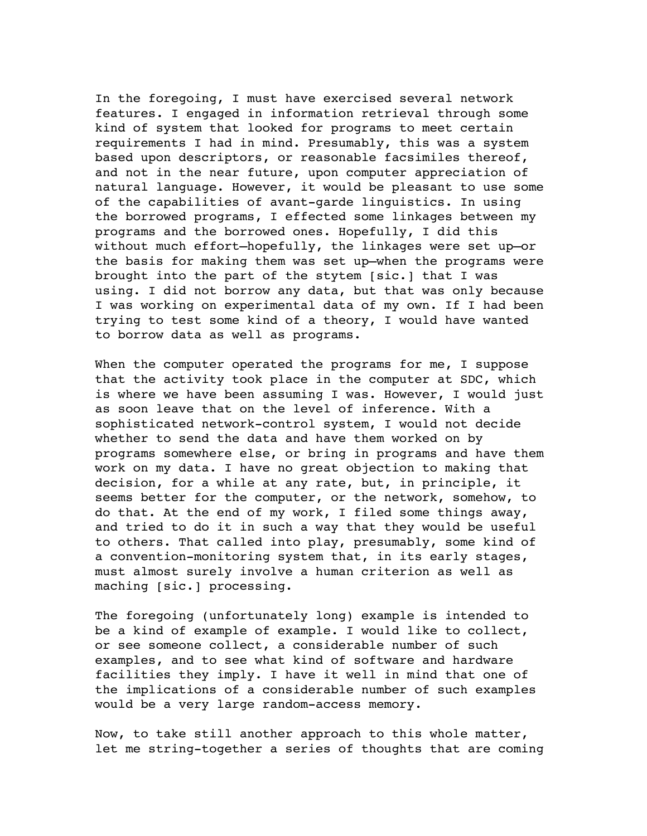In the foregoing, I must have exercised several network features. I engaged in information retrieval through some kind of system that looked for programs to meet certain requirements I had in mind. Presumably, this was a system based upon descriptors, or reasonable facsimiles thereof, and not in the near future, upon computer appreciation of natural language. However, it would be pleasant to use some of the capabilities of avant-garde linguistics. In using the borrowed programs, I effected some linkages between my programs and the borrowed ones. Hopefully, I did this without much effort–hopefully, the linkages were set up–or the basis for making them was set up–when the programs were brought into the part of the stytem [sic.] that I was using. I did not borrow any data, but that was only because I was working on experimental data of my own. If I had been trying to test some kind of a theory, I would have wanted to borrow data as well as programs.

When the computer operated the programs for me, I suppose that the activity took place in the computer at SDC, which is where we have been assuming I was. However, I would just as soon leave that on the level of inference. With a sophisticated network-control system, I would not decide whether to send the data and have them worked on by programs somewhere else, or bring in programs and have them work on my data. I have no great objection to making that decision, for a while at any rate, but, in principle, it seems better for the computer, or the network, somehow, to do that. At the end of my work, I filed some things away, and tried to do it in such a way that they would be useful to others. That called into play, presumably, some kind of a convention-monitoring system that, in its early stages, must almost surely involve a human criterion as well as maching [sic.] processing.

The foregoing (unfortunately long) example is intended to be a kind of example of example. I would like to collect, or see someone collect, a considerable number of such examples, and to see what kind of software and hardware facilities they imply. I have it well in mind that one of the implications of a considerable number of such examples would be a very large random-access memory.

Now, to take still another approach to this whole matter, let me string-together a series of thoughts that are coming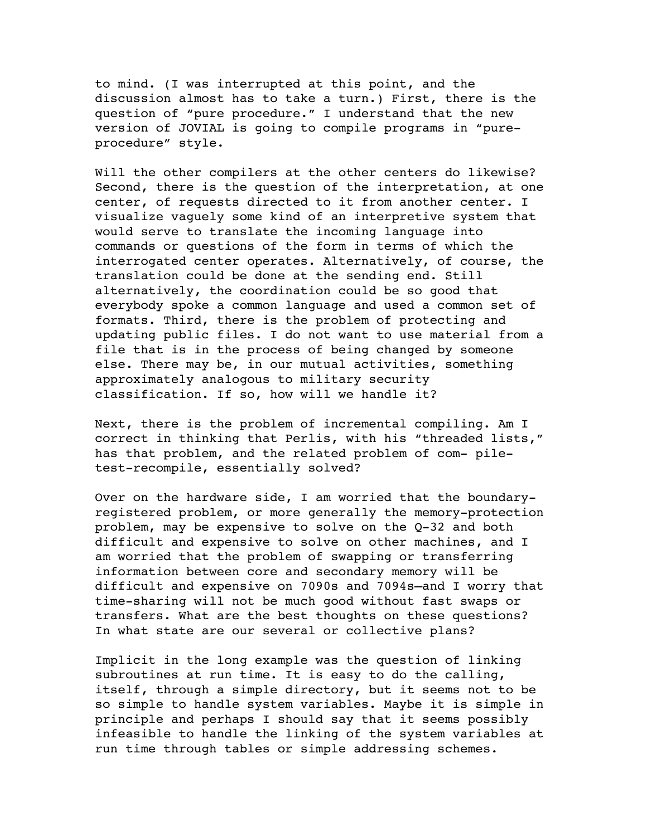to mind. (I was interrupted at this point, and the discussion almost has to take a turn.) First, there is the question of "pure procedure." I understand that the new version of JOVIAL is going to compile programs in "pureprocedure" style.

Will the other compilers at the other centers do likewise? Second, there is the question of the interpretation, at one center, of requests directed to it from another center. I visualize vaguely some kind of an interpretive system that would serve to translate the incoming language into commands or questions of the form in terms of which the interrogated center operates. Alternatively, of course, the translation could be done at the sending end. Still alternatively, the coordination could be so good that everybody spoke a common language and used a common set of formats. Third, there is the problem of protecting and updating public files. I do not want to use material from a file that is in the process of being changed by someone else. There may be, in our mutual activities, something approximately analogous to military security classification. If so, how will we handle it?

Next, there is the problem of incremental compiling. Am I correct in thinking that Perlis, with his "threaded lists," has that problem, and the related problem of com- piletest-recompile, essentially solved?

Over on the hardware side, I am worried that the boundaryregistered problem, or more generally the memory-protection problem, may be expensive to solve on the Q-32 and both difficult and expensive to solve on other machines, and I am worried that the problem of swapping or transferring information between core and secondary memory will be difficult and expensive on 7090s and 7094s–and I worry that time-sharing will not be much good without fast swaps or transfers. What are the best thoughts on these questions? In what state are our several or collective plans?

Implicit in the long example was the question of linking subroutines at run time. It is easy to do the calling, itself, through a simple directory, but it seems not to be so simple to handle system variables. Maybe it is simple in principle and perhaps I should say that it seems possibly infeasible to handle the linking of the system variables at run time through tables or simple addressing schemes.